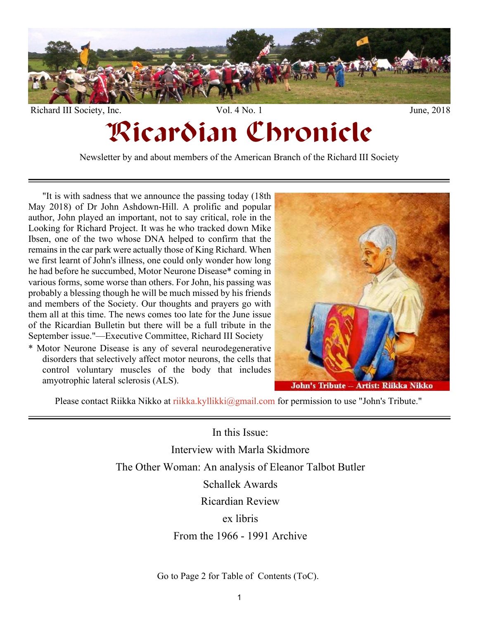

# Ricardian Chronicle

Newsletter by and about members of the American Branch of the Richard III Society

"It is with sadness that we announce the passing today (18th May 2018) of Dr John Ashdown-Hill. A prolific and popular author, John played an important, not to say critical, role in the Looking for Richard Project. It was he who tracked down Mike Ibsen, one of the two whose DNA helped to confirm that the remains in the car park were actually those of King Richard. When we first learnt of John's illness, one could only wonder how long he had before he succumbed, Motor Neurone Disease\* coming in various forms, some worse than others. For John, his passing was probably a blessing though he will be much missed by his friends and members of the Society. Our thoughts and prayers go with them all at this time. The news comes too late for the June issue of the Ricardian Bulletin but there will be a full tribute in the September issue."—Executive Committee, Richard III Society

\* Motor Neurone Disease is any of several neurodegenerative disorders that selectively affect motor neurons, the cells that control voluntary muscles of the body that includes amyotrophic lateral sclerosis (ALS).



Please contact Riikka Nikko at [riikka.kyllikki@gmail.com](mailto:riikka.kyllikki@gmail.com) for permission to use "John's Tribute."

In this Issue: Interview with Marla Skidmore The Other Woman: An analysis of Eleanor Talbot Butler Schallek Awards Ricardian Review ex libris From the 1966 - 1991 Archive

Go to Page 2 for Table of Contents (ToC).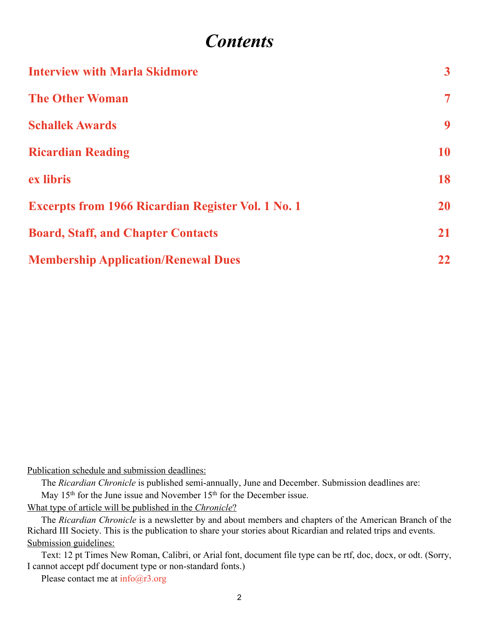# *Contents*

<span id="page-1-0"></span>

| <b>Interview with Marla Skidmore</b>                      | 3 <sup>1</sup>           |
|-----------------------------------------------------------|--------------------------|
| <b>The Other Woman</b>                                    | $\overline{\mathcal{L}}$ |
| <b>Schallek Awards</b>                                    | 9                        |
| <b>Ricardian Reading</b>                                  | 10                       |
| ex libris                                                 | 18                       |
| <b>Excerpts from 1966 Ricardian Register Vol. 1 No. 1</b> | <b>20</b>                |
| <b>Board, Staff, and Chapter Contacts</b>                 | 21                       |
| <b>Membership Application/Renewal Dues</b>                | $22 \,$                  |

Publication schedule and submission deadlines:

The *Ricardian Chronicle* is published semi-annually, June and December. Submission deadlines are: May 15<sup>th</sup> for the June issue and November 15<sup>th</sup> for the December issue.

What type of article will be published in the *Chronicle*?

The *Ricardian Chronicle* is a newsletter by and about members and chapters of the American Branch of the Richard III Society. This is the publication to share your stories about Ricardian and related trips and events. Submission guidelines:

Text: 12 pt Times New Roman, Calibri, or Arial font, document file type can be rtf, doc, docx, or odt. (Sorry, I cannot accept pdf document type or non-standard fonts.)

Please contact me at  $info@r3.org$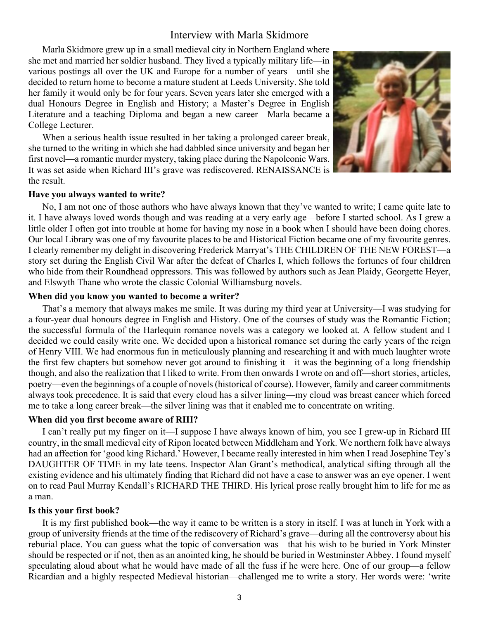# Interview with Marla Skidmore

<span id="page-2-0"></span>Marla Skidmore grew up in a small medieval city in Northern England where she met and married her soldier husband. They lived a typically military life—in various postings all over the UK and Europe for a number of years—until she decided to return home to become a mature student at Leeds University. She told her family it would only be for four years. Seven years later she emerged with a dual Honours Degree in English and History; a Master's Degree in English Literature and a teaching Diploma and began a new career—Marla became a College Lecturer.

When a serious health issue resulted in her taking a prolonged career break, she turned to the writing in which she had dabbled since university and began her first novel—a romantic murder mystery, taking place during the Napoleonic Wars. It was set aside when Richard III's grave was rediscovered. RENAISSANCE is the result.



#### **Have you always wanted to write?**

No, I am not one of those authors who have always known that they've wanted to write; I came quite late to it. I have always loved words though and was reading at a very early age—before I started school. As I grew a little older I often got into trouble at home for having my nose in a book when I should have been doing chores. Our local Library was one of my favourite places to be and Historical Fiction became one of my favourite genres. I clearly remember my delight in discovering Frederick Marryat's THE CHILDREN OF THE NEW FOREST—a story set during the English Civil War after the defeat of Charles I, which follows the fortunes of four children who hide from their Roundhead oppressors. This was followed by authors such as Jean Plaidy, Georgette Heyer, and Elswyth Thane who wrote the classic Colonial Williamsburg novels.

#### **When did you know you wanted to become a writer?**

That's a memory that always makes me smile. It was during my third year at University—I was studying for a four-year dual honours degree in English and History. One of the courses of study was the Romantic Fiction; the successful formula of the Harlequin romance novels was a category we looked at. A fellow student and I decided we could easily write one. We decided upon a historical romance set during the early years of the reign of Henry VIII. We had enormous fun in meticulously planning and researching it and with much laughter wrote the first few chapters but somehow never got around to finishing it—it was the beginning of a long friendship though, and also the realization that I liked to write. From then onwards I wrote on and off—short stories, articles, poetry—even the beginnings of a couple of novels (historical of course). However, family and career commitments always took precedence. It is said that every cloud has a silver lining—my cloud was breast cancer which forced me to take a long career break—the silver lining was that it enabled me to concentrate on writing.

#### **When did you first become aware of RIII?**

I can't really put my finger on it—I suppose I have always known of him, you see I grew-up in Richard III country, in the small medieval city of Ripon located between Middleham and York. We northern folk have always had an affection for 'good king Richard.' However, I became really interested in him when I read Josephine Tey's DAUGHTER OF TIME in my late teens. Inspector Alan Grant's methodical, analytical sifting through all the existing evidence and his ultimately finding that Richard did not have a case to answer was an eye opener. I went on to read Paul Murray Kendall's RICHARD THE THIRD. His lyrical prose really brought him to life for me as a man.

#### **Is this your first book?**

It is my first published book—the way it came to be written is a story in itself. I was at lunch in York with a group of university friends at the time of the rediscovery of Richard's grave—during all the controversy about his reburial place. You can guess what the topic of conversation was—that his wish to be buried in York Minster should be respected or if not, then as an anointed king, he should be buried in Westminster Abbey. I found myself speculating aloud about what he would have made of all the fuss if he were here. One of our group—a fellow Ricardian and a highly respected Medieval historian—challenged me to write a story. Her words were: 'write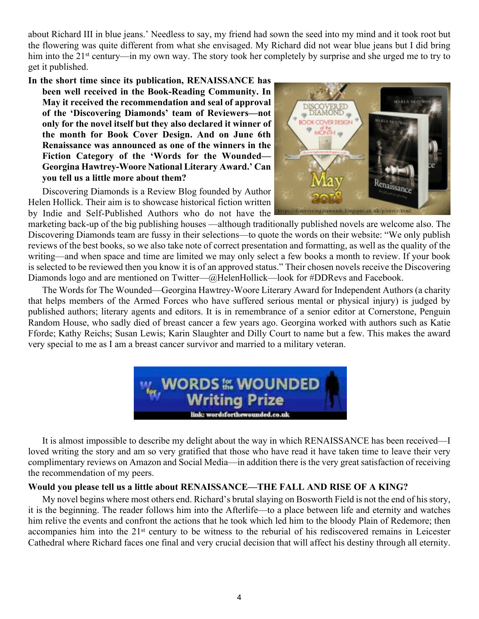about Richard III in blue jeans.' Needless to say, my friend had sown the seed into my mind and it took root but the flowering was quite different from what she envisaged. My Richard did not wear blue jeans but I did bring him into the 21<sup>st</sup> century—in my own way. The story took her completely by surprise and she urged me to try to get it published.

**In the short time since its publication, RENAISSANCE has been well received in the Book-Reading Community. In May it received the recommendation and seal of approval of the 'Discovering Diamonds' team of Reviewers—not only for the novel itself but they also declared it winner of the month for Book Cover Design. And on June 6th Renaissance was announced as one of the winners in the Fiction Category of the 'Words for the Wounded— Georgina Hawtrey-Woore National Literary Award.' Can you tell us a little more about them?**

Discovering Diamonds is a Review Blog founded by Author Helen Hollick. Their aim is to showcase historical fiction written by Indie and Self-Published Authors who do not have the



marketing back-up of the big publishing houses —although traditionally published novels are welcome also. The Discovering Diamonds team are fussy in their selections—to quote the words on their website: "We only publish reviews of the best books, so we also take note of correct presentation and formatting, as well as the quality of the writing—and when space and time are limited we may only select a few books a month to review. If your book is selected to be reviewed then you know it is of an approved status." Their chosen novels receive the Discovering Diamonds logo and are mentioned on Twitter—@HelenHollick—look for #DDRevs and Facebook.

The Words for The Wounded—Georgina Hawtrey-Woore Literary Award for Independent Authors (a charity that helps members of the Armed Forces who have suffered serious mental or physical injury) is judged by published authors; literary agents and editors. It is in remembrance of a senior editor at Cornerstone, Penguin Random House, who sadly died of breast cancer a few years ago. Georgina worked with authors such as Katie Fforde; Kathy Reichs; Susan Lewis; Karin Slaughter and Dilly Court to name but a few. This makes the award very special to me as I am a breast cancer survivor and married to a military veteran.



It is almost impossible to describe my delight about the way in which RENAISSANCE has been received—I loved writing the story and am so very gratified that those who have read it have taken time to leave their very complimentary reviews on Amazon and Social Media—in addition there is the very great satisfaction of receiving the recommendation of my peers.

# **Would you please tell us a little about RENAISSANCE—THE FALL AND RISE OF A KING?**

My novel begins where most others end. Richard's brutal slaying on Bosworth Field is not the end of his story, it is the beginning. The reader follows him into the Afterlife—to a place between life and eternity and watches him relive the events and confront the actions that he took which led him to the bloody Plain of Redemore; then accompanies him into the 21<sup>st</sup> century to be witness to the reburial of his rediscovered remains in Leicester Cathedral where Richard faces one final and very crucial decision that will affect his destiny through all eternity.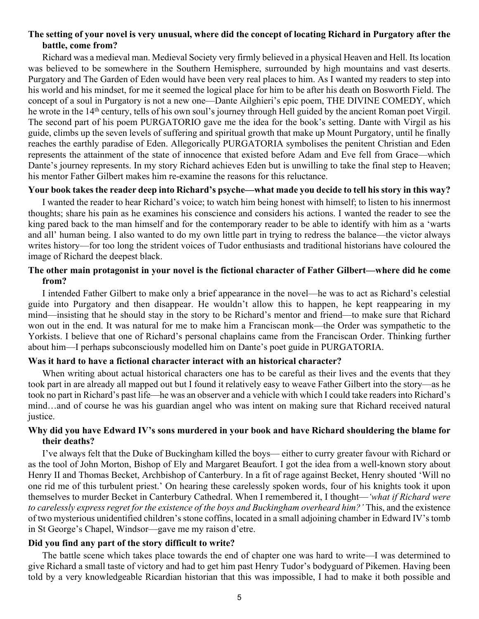# **The setting of your novel is very unusual, where did the concept of locating Richard in Purgatory after the battle, come from?**

Richard was a medieval man. Medieval Society very firmly believed in a physical Heaven and Hell. Its location was believed to be somewhere in the Southern Hemisphere, surrounded by high mountains and vast deserts. Purgatory and The Garden of Eden would have been very real places to him. As I wanted my readers to step into his world and his mindset, for me it seemed the logical place for him to be after his death on Bosworth Field. The concept of a soul in Purgatory is not a new one—Dante Ailghieri's epic poem, THE DIVINE COMEDY, which he wrote in the 14<sup>th</sup> century, tells of his own soul's journey through Hell guided by the ancient Roman poet Virgil. The second part of his poem PURGATORIO gave me the idea for the book's setting. Dante with Virgil as his guide, climbs up the seven levels of suffering and spiritual growth that make up Mount Purgatory, until he finally reaches the earthly paradise of Eden. Allegorically PURGATORIA symbolises the penitent Christian and Eden represents the attainment of the state of innocence that existed before Adam and Eve fell from Grace—which Dante's journey represents. In my story Richard achieves Eden but is unwilling to take the final step to Heaven; his mentor Father Gilbert makes him re-examine the reasons for this reluctance.

#### **Your book takes the reader deep into Richard's psyche—what made you decide to tell his story in this way?**

I wanted the reader to hear Richard's voice; to watch him being honest with himself; to listen to his innermost thoughts; share his pain as he examines his conscience and considers his actions. I wanted the reader to see the king pared back to the man himself and for the contemporary reader to be able to identify with him as a 'warts and all' human being. I also wanted to do my own little part in trying to redress the balance—the victor always writes history—for too long the strident voices of Tudor enthusiasts and traditional historians have coloured the image of Richard the deepest black.

# **The other main protagonist in your novel is the fictional character of Father Gilbert—where did he come from?**

I intended Father Gilbert to make only a brief appearance in the novel—he was to act as Richard's celestial guide into Purgatory and then disappear. He wouldn't allow this to happen, he kept reappearing in my mind—insisting that he should stay in the story to be Richard's mentor and friend—to make sure that Richard won out in the end. It was natural for me to make him a Franciscan monk—the Order was sympathetic to the Yorkists. I believe that one of Richard's personal chaplains came from the Franciscan Order. Thinking further about him—I perhaps subconsciously modelled him on Dante's poet guide in PURGATORIA.

# **Was it hard to have a fictional character interact with an historical character?**

When writing about actual historical characters one has to be careful as their lives and the events that they took part in are already all mapped out but I found it relatively easy to weave Father Gilbert into the story—as he took no part in Richard's past life—he was an observer and a vehicle with which I could take readers into Richard's mind…and of course he was his guardian angel who was intent on making sure that Richard received natural justice.

# **Why did you have Edward IV's sons murdered in your book and have Richard shouldering the blame for their deaths?**

I've always felt that the Duke of Buckingham killed the boys— either to curry greater favour with Richard or as the tool of John Morton, Bishop of Ely and Margaret Beaufort. I got the idea from a well-known story about Henry II and Thomas Becket, Archbishop of Canterbury. In a fit of rage against Becket, Henry shouted 'Will no one rid me of this turbulent priest.' On hearing these carelessly spoken words, four of his knights took it upon themselves to murder Becket in Canterbury Cathedral. When I remembered it, I thought—*'what if Richard were to carelessly express regret for the existence of the boys and Buckingham overheard him?'* This, and the existence of two mysterious unidentified children's stone coffins, located in a small adjoining chamber in Edward IV's tomb in St George's Chapel, Windsor—gave me my raison d'etre.

# **Did you find any part of the story difficult to write?**

The battle scene which takes place towards the end of chapter one was hard to write—I was determined to give Richard a small taste of victory and had to get him past Henry Tudor's bodyguard of Pikemen. Having been told by a very knowledgeable Ricardian historian that this was impossible, I had to make it both possible and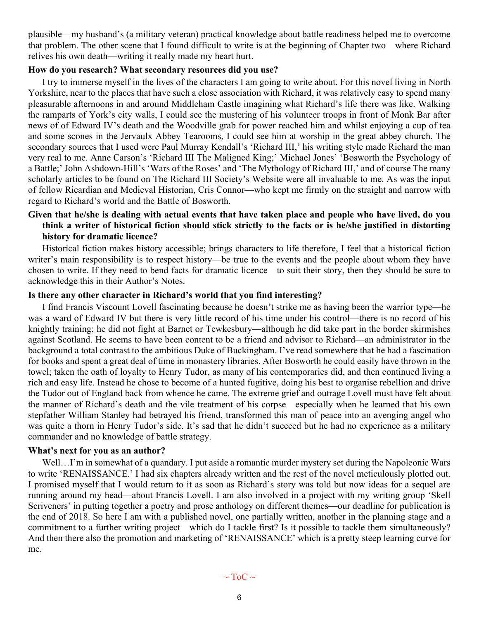plausible—my husband's (a military veteran) practical knowledge about battle readiness helped me to overcome that problem. The other scene that I found difficult to write is at the beginning of Chapter two—where Richard relives his own death—writing it really made my heart hurt.

#### **How do you research? What secondary resources did you use?**

I try to immerse myself in the lives of the characters I am going to write about. For this novel living in North Yorkshire, near to the places that have such a close association with Richard, it was relatively easy to spend many pleasurable afternoons in and around Middleham Castle imagining what Richard's life there was like. Walking the ramparts of York's city walls, I could see the mustering of his volunteer troops in front of Monk Bar after news of of Edward IV's death and the Woodville grab for power reached him and whilst enjoying a cup of tea and some scones in the Jervaulx Abbey Tearooms, I could see him at worship in the great abbey church. The secondary sources that I used were Paul Murray Kendall's 'Richard III,' his writing style made Richard the man very real to me. Anne Carson's 'Richard III The Maligned King;' Michael Jones' 'Bosworth the Psychology of a Battle;' John Ashdown-Hill's 'Wars of the Roses' and 'The Mythology of Richard III,' and of course The many scholarly articles to be found on The Richard III Society's Website were all invaluable to me. As was the input of fellow Ricardian and Medieval Historian, Cris Connor—who kept me firmly on the straight and narrow with regard to Richard's world and the Battle of Bosworth.

# **Given that he/she is dealing with actual events that have taken place and people who have lived, do you think a writer of historical fiction should stick strictly to the facts or is he/she justified in distorting history for dramatic licence?**

Historical fiction makes history accessible; brings characters to life therefore, I feel that a historical fiction writer's main responsibility is to respect history—be true to the events and the people about whom they have chosen to write. If they need to bend facts for dramatic licence—to suit their story, then they should be sure to acknowledge this in their Author's Notes.

#### **Is there any other character in Richard's world that you find interesting?**

I find Francis Viscount Lovell fascinating because he doesn't strike me as having been the warrior type—he was a ward of Edward IV but there is very little record of his time under his control—there is no record of his knightly training; he did not fight at Barnet or Tewkesbury—although he did take part in the border skirmishes against Scotland. He seems to have been content to be a friend and advisor to Richard—an administrator in the background a total contrast to the ambitious Duke of Buckingham. I've read somewhere that he had a fascination for books and spent a great deal of time in monastery libraries. After Bosworth he could easily have thrown in the towel; taken the oath of loyalty to Henry Tudor, as many of his contemporaries did, and then continued living a rich and easy life. Instead he chose to become of a hunted fugitive, doing his best to organise rebellion and drive the Tudor out of England back from whence he came. The extreme grief and outrage Lovell must have felt about the manner of Richard's death and the vile treatment of his corpse—especially when he learned that his own stepfather William Stanley had betrayed his friend, transformed this man of peace into an avenging angel who was quite a thorn in Henry Tudor's side. It's sad that he didn't succeed but he had no experience as a military commander and no knowledge of battle strategy.

#### **What's next for you as an author?**

Well...I'm in somewhat of a quandary. I put aside a romantic murder mystery set during the Napoleonic Wars to write 'RENAISSANCE.' I had six chapters already written and the rest of the novel meticulously plotted out. I promised myself that I would return to it as soon as Richard's story was told but now ideas for a sequel are running around my head—about Francis Lovell. I am also involved in a project with my writing group 'Skell Scriveners' in putting together a poetry and prose anthology on different themes—our deadline for publication is the end of 2018. So here I am with a published novel, one partially written, another in the planning stage and a commitment to a further writing project—which do I tackle first? Is it possible to tackle them simultaneously? And then there also the promotion and marketing of 'RENAISSANCE' which is a pretty steep learning curve for me.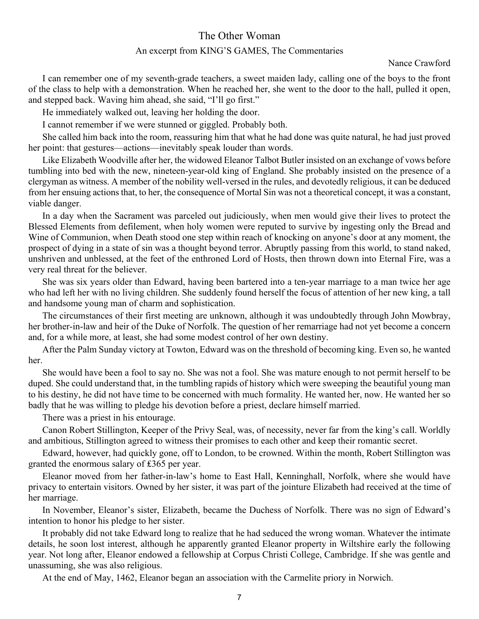# The Other Woman

#### An excerpt from KING'S GAMES, The Commentaries

Nance Crawford

<span id="page-6-0"></span>I can remember one of my seventh-grade teachers, a sweet maiden lady, calling one of the boys to the front of the class to help with a demonstration. When he reached her, she went to the door to the hall, pulled it open, and stepped back. Waving him ahead, she said, "I'll go first."

He immediately walked out, leaving her holding the door.

I cannot remember if we were stunned or giggled. Probably both.

She called him back into the room, reassuring him that what he had done was quite natural, he had just proved her point: that gestures—actions—inevitably speak louder than words.

Like Elizabeth Woodville after her, the widowed Eleanor Talbot Butler insisted on an exchange of vows before tumbling into bed with the new, nineteen-year-old king of England. She probably insisted on the presence of a clergyman as witness. A member of the nobility well-versed in the rules, and devotedly religious, it can be deduced from her ensuing actions that, to her, the consequence of Mortal Sin was not a theoretical concept, it was a constant, viable danger.

In a day when the Sacrament was parceled out judiciously, when men would give their lives to protect the Blessed Elements from defilement, when holy women were reputed to survive by ingesting only the Bread and Wine of Communion, when Death stood one step within reach of knocking on anyone's door at any moment, the prospect of dying in a state of sin was a thought beyond terror. Abruptly passing from this world, to stand naked, unshriven and unblessed, at the feet of the enthroned Lord of Hosts, then thrown down into Eternal Fire, was a very real threat for the believer.

She was six years older than Edward, having been bartered into a ten-year marriage to a man twice her age who had left her with no living children. She suddenly found herself the focus of attention of her new king, a tall and handsome young man of charm and sophistication.

The circumstances of their first meeting are unknown, although it was undoubtedly through John Mowbray, her brother-in-law and heir of the Duke of Norfolk. The question of her remarriage had not yet become a concern and, for a while more, at least, she had some modest control of her own destiny.

After the Palm Sunday victory at Towton, Edward was on the threshold of becoming king. Even so, he wanted her.

She would have been a fool to say no. She was not a fool. She was mature enough to not permit herself to be duped. She could understand that, in the tumbling rapids of history which were sweeping the beautiful young man to his destiny, he did not have time to be concerned with much formality. He wanted her, now. He wanted her so badly that he was willing to pledge his devotion before a priest, declare himself married.

There was a priest in his entourage.

Canon Robert Stillington, Keeper of the Privy Seal, was, of necessity, never far from the king's call. Worldly and ambitious, Stillington agreed to witness their promises to each other and keep their romantic secret.

Edward, however, had quickly gone, off to London, to be crowned. Within the month, Robert Stillington was granted the enormous salary of £365 per year.

Eleanor moved from her father-in-law's home to East Hall, Kenninghall, Norfolk, where she would have privacy to entertain visitors. Owned by her sister, it was part of the jointure Elizabeth had received at the time of her marriage.

In November, Eleanor's sister, Elizabeth, became the Duchess of Norfolk. There was no sign of Edward's intention to honor his pledge to her sister.

It probably did not take Edward long to realize that he had seduced the wrong woman. Whatever the intimate details, he soon lost interest, although he apparently granted Eleanor property in Wiltshire early the following year. Not long after, Eleanor endowed a fellowship at Corpus Christi College, Cambridge. If she was gentle and unassuming, she was also religious.

At the end of May, 1462, Eleanor began an association with the Carmelite priory in Norwich.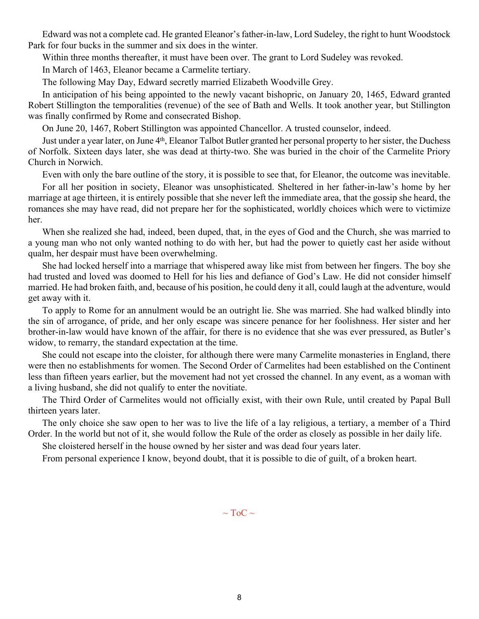Edward was not a complete cad. He granted Eleanor's father-in-law, Lord Sudeley, the right to hunt Woodstock Park for four bucks in the summer and six does in the winter.

Within three months thereafter, it must have been over. The grant to Lord Sudeley was revoked.

In March of 1463, Eleanor became a Carmelite tertiary.

The following May Day, Edward secretly married Elizabeth Woodville Grey.

In anticipation of his being appointed to the newly vacant bishopric, on January 20, 1465, Edward granted Robert Stillington the temporalities (revenue) of the see of Bath and Wells. It took another year, but Stillington was finally confirmed by Rome and consecrated Bishop.

On June 20, 1467, Robert Stillington was appointed Chancellor. A trusted counselor, indeed.

Just under a year later, on June 4<sup>th</sup>, Eleanor Talbot Butler granted her personal property to her sister, the Duchess of Norfolk. Sixteen days later, she was dead at thirty-two. She was buried in the choir of the Carmelite Priory Church in Norwich.

Even with only the bare outline of the story, it is possible to see that, for Eleanor, the outcome was inevitable.

For all her position in society, Eleanor was unsophisticated. Sheltered in her father-in-law's home by her marriage at age thirteen, it is entirely possible that she never left the immediate area, that the gossip she heard, the romances she may have read, did not prepare her for the sophisticated, worldly choices which were to victimize her.

When she realized she had, indeed, been duped, that, in the eyes of God and the Church, she was married to a young man who not only wanted nothing to do with her, but had the power to quietly cast her aside without qualm, her despair must have been overwhelming.

She had locked herself into a marriage that whispered away like mist from between her fingers. The boy she had trusted and loved was doomed to Hell for his lies and defiance of God's Law. He did not consider himself married. He had broken faith, and, because of his position, he could deny it all, could laugh at the adventure, would get away with it.

To apply to Rome for an annulment would be an outright lie. She was married. She had walked blindly into the sin of arrogance, of pride, and her only escape was sincere penance for her foolishness. Her sister and her brother-in-law would have known of the affair, for there is no evidence that she was ever pressured, as Butler's widow, to remarry, the standard expectation at the time.

She could not escape into the cloister, for although there were many Carmelite monasteries in England, there were then no establishments for women. The Second Order of Carmelites had been established on the Continent less than fifteen years earlier, but the movement had not yet crossed the channel. In any event, as a woman with a living husband, she did not qualify to enter the novitiate.

The Third Order of Carmelites would not officially exist, with their own Rule, until created by Papal Bull thirteen years later.

The only choice she saw open to her was to live the life of a lay religious, a tertiary, a member of a Third Order. In the world but not of it, she would follow the Rule of the order as closely as possible in her daily life.

She cloistered herself in the house owned by her sister and was dead four years later.

From personal experience I know, beyond doubt, that it is possible to die of guilt, of a broken heart.

 $\sim$  ToC  $\sim$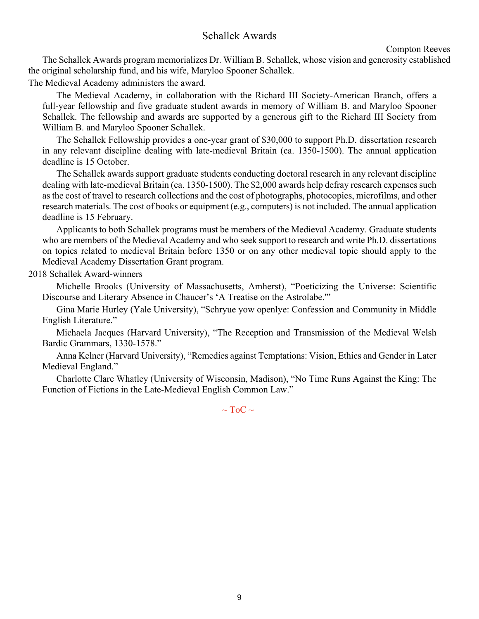# Schallek Awards

```
Compton Reeves
```
<span id="page-8-0"></span>The Schallek Awards program memorializes Dr. William B. Schallek, whose vision and generosity established the original scholarship fund, and his wife, Maryloo Spooner Schallek.

The Medieval Academy administers the award.

The Medieval Academy, in collaboration with the Richard III Society-American Branch, offers a full-year fellowship and five graduate student awards in memory of William B. and Maryloo Spooner Schallek. The fellowship and awards are supported by a generous gift to the Richard III Society from William B. and Maryloo Spooner Schallek.

The Schallek Fellowship provides a one-year grant of \$30,000 to support Ph.D. dissertation research in any relevant discipline dealing with late-medieval Britain (ca. 1350-1500). The annual application deadline is 15 October.

The Schallek awards support graduate students conducting doctoral research in any relevant discipline dealing with late-medieval Britain (ca. 1350-1500). The \$2,000 awards help defray research expenses such as the cost of travel to research collections and the cost of photographs, photocopies, microfilms, and other research materials. The cost of books or equipment (e.g., computers) is not included. The annual application deadline is 15 February.

Applicants to both Schallek programs must be members of the Medieval Academy. Graduate students who are members of the Medieval Academy and who seek support to research and write Ph.D. dissertations on topics related to medieval Britain before 1350 or on any other medieval topic should apply to the Medieval Academy Dissertation Grant program.

2018 Schallek Award-winners

Michelle Brooks (University of Massachusetts, Amherst), "Poeticizing the Universe: Scientific Discourse and Literary Absence in Chaucer's 'A Treatise on the Astrolabe.'"

Gina Marie Hurley (Yale University), "Schryue yow openlye: Confession and Community in Middle English Literature."

Michaela Jacques (Harvard University), "The Reception and Transmission of the Medieval Welsh Bardic Grammars, 1330-1578."

Anna Kelner (Harvard University), "Remedies against Temptations: Vision, Ethics and Gender in Later Medieval England."

Charlotte Clare Whatley (University of Wisconsin, Madison), "No Time Runs Against the King: The Function of Fictions in the Late-Medieval English Common Law."

 $\sim$  ToC  $\sim$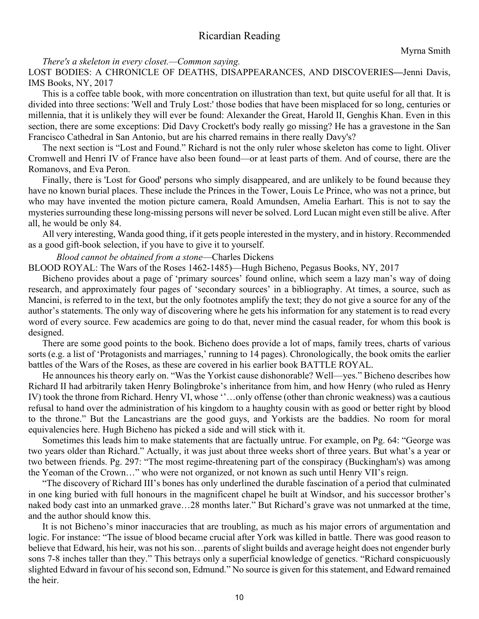# Ricardian Reading

<span id="page-9-0"></span>*There's a skeleton in every closet.—Common saying.*

LOST BODIES: A CHRONICLE OF DEATHS, DISAPPEARANCES, AND DISCOVERIES**—**Jenni Davis, IMS Books, NY, 2017

This is a coffee table book, with more concentration on illustration than text, but quite useful for all that. It is divided into three sections: 'Well and Truly Lost:' those bodies that have been misplaced for so long, centuries or millennia, that it is unlikely they will ever be found: Alexander the Great, Harold II, Genghis Khan. Even in this section, there are some exceptions: Did Davy Crockett's body really go missing? He has a gravestone in the San Francisco Cathedral in San Antonio, but are his charred remains in there really Davy's?

The next section is "Lost and Found." Richard is not the only ruler whose skeleton has come to light. Oliver Cromwell and Henri IV of France have also been found—or at least parts of them. And of course, there are the Romanovs, and Eva Peron.

Finally, there is 'Lost for Good' persons who simply disappeared, and are unlikely to be found because they have no known burial places. These include the Princes in the Tower, Louis Le Prince, who was not a prince, but who may have invented the motion picture camera, Roald Amundsen, Amelia Earhart. This is not to say the mysteries surrounding these long-missing persons will never be solved. Lord Lucan might even still be alive. After all, he would be only 84.

All very interesting, Wanda good thing, if it gets people interested in the mystery, and in history. Recommended as a good gift-book selection, if you have to give it to yourself.

#### *Blood cannot be obtained from a stone*—Charles Dickens

BLOOD ROYAL: The Wars of the Roses 1462-1485)—Hugh Bicheno, Pegasus Books, NY, 2017

Bicheno provides about a page of 'primary sources' found online, which seem a lazy man's way of doing research, and approximately four pages of 'secondary sources' in a bibliography. At times, a source, such as Mancini, is referred to in the text, but the only footnotes amplify the text; they do not give a source for any of the author's statements. The only way of discovering where he gets his information for any statement is to read every word of every source. Few academics are going to do that, never mind the casual reader, for whom this book is designed.

There are some good points to the book. Bicheno does provide a lot of maps, family trees, charts of various sorts (e.g. a list of 'Protagonists and marriages,' running to 14 pages). Chronologically, the book omits the earlier battles of the Wars of the Roses, as these are covered in his earlier book BATTLE ROYAL.

He announces his theory early on. "Was the Yorkist cause dishonorable? Well—yes." Bicheno describes how Richard II had arbitrarily taken Henry Bolingbroke's inheritance from him, and how Henry (who ruled as Henry IV) took the throne from Richard. Henry VI, whose ''…only offense (other than chronic weakness) was a cautious refusal to hand over the administration of his kingdom to a haughty cousin with as good or better right by blood to the throne." But the Lancastrians are the good guys, and Yorkists are the baddies. No room for moral equivalencies here. Hugh Bicheno has picked a side and will stick with it.

Sometimes this leads him to make statements that are factually untrue. For example, on Pg. 64: "George was two years older than Richard." Actually, it was just about three weeks short of three years. But what's a year or two between friends. Pg. 297: "The most regime-threatening part of the conspiracy (Buckingham's) was among the Yeoman of the Crown…" who were not organized, or not known as such until Henry VII's reign.

"The discovery of Richard III's bones has only underlined the durable fascination of a period that culminated in one king buried with full honours in the magnificent chapel he built at Windsor, and his successor brother's naked body cast into an unmarked grave…28 months later." But Richard's grave was not unmarked at the time, and the author should know this.

It is not Bicheno's minor inaccuracies that are troubling, as much as his major errors of argumentation and logic. For instance: "The issue of blood became crucial after York was killed in battle. There was good reason to believe that Edward, his heir, was not his son…parents of slight builds and average height does not engender burly sons 7-8 inches taller than they." This betrays only a superficial knowledge of genetics. "Richard conspicuously slighted Edward in favour of his second son, Edmund." No source is given for this statement, and Edward remained the heir.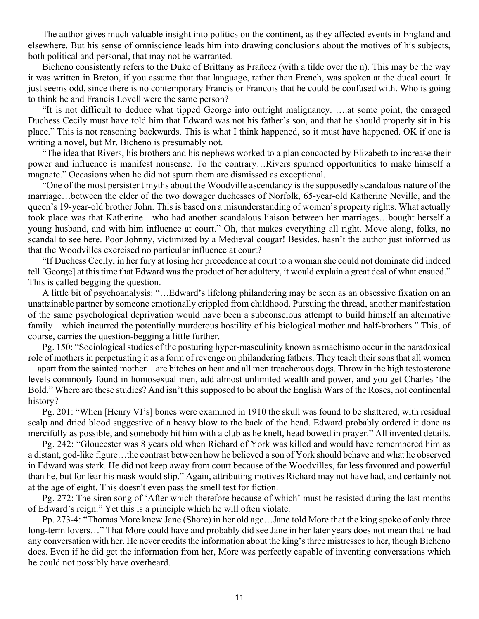The author gives much valuable insight into politics on the continent, as they affected events in England and elsewhere. But his sense of omniscience leads him into drawing conclusions about the motives of his subjects, both political and personal, that may not be warranted.

Bicheno consistently refers to the Duke of Brittany as Frañcez (with a tilde over the n). This may be the way it was written in Breton, if you assume that that language, rather than French, was spoken at the ducal court. It just seems odd, since there is no contemporary Francis or Francois that he could be confused with. Who is going to think he and Francis Lovell were the same person?

"It is not difficult to deduce what tipped George into outright malignancy. ….at some point, the enraged Duchess Cecily must have told him that Edward was not his father's son, and that he should properly sit in his place." This is not reasoning backwards. This is what I think happened, so it must have happened. OK if one is writing a novel, but Mr. Bicheno is presumably not.

"The idea that Rivers, his brothers and his nephews worked to a plan concocted by Elizabeth to increase their power and influence is manifest nonsense. To the contrary…Rivers spurned opportunities to make himself a magnate." Occasions when he did not spurn them are dismissed as exceptional.

"One of the most persistent myths about the Woodville ascendancy is the supposedly scandalous nature of the marriage…between the elder of the two dowager duchesses of Norfolk, 65-year-old Katherine Neville, and the queen's 19-year-old brother John. This is based on a misunderstanding of women's property rights. What actually took place was that Katherine—who had another scandalous liaison between her marriages…bought herself a young husband, and with him influence at court." Oh, that makes everything all right. Move along, folks, no scandal to see here. Poor Johnny, victimized by a Medieval cougar! Besides, hasn't the author just informed us that the Woodvilles exercised no particular influence at court?

"If Duchess Cecily, in her fury at losing her precedence at court to a woman she could not dominate did indeed tell [George] at this time that Edward was the product of her adultery, it would explain a great deal of what ensued." This is called begging the question.

A little bit of psychoanalysis: "…Edward's lifelong philandering may be seen as an obsessive fixation on an unattainable partner by someone emotionally crippled from childhood. Pursuing the thread, another manifestation of the same psychological deprivation would have been a subconscious attempt to build himself an alternative family—which incurred the potentially murderous hostility of his biological mother and half-brothers." This, of course, carries the question-begging a little further.

Pg. 150: "Sociological studies of the posturing hyper-masculinity known as machismo occur in the paradoxical role of mothers in perpetuating it as a form of revenge on philandering fathers. They teach their sons that all women —apart from the sainted mother—are bitches on heat and all men treacherous dogs. Throw in the high testosterone levels commonly found in homosexual men, add almost unlimited wealth and power, and you get Charles 'the Bold." Where are these studies? And isn't this supposed to be about the English Wars of the Roses, not continental history?

Pg. 201: "When [Henry VI's] bones were examined in 1910 the skull was found to be shattered, with residual scalp and dried blood suggestive of a heavy blow to the back of the head. Edward probably ordered it done as mercifully as possible, and somebody hit him with a club as he knelt, head bowed in prayer." All invented details.

Pg. 242: "Gloucester was 8 years old when Richard of York was killed and would have remembered him as a distant, god-like figure…the contrast between how he believed a son of York should behave and what he observed in Edward was stark. He did not keep away from court because of the Woodvilles, far less favoured and powerful than he, but for fear his mask would slip." Again, attributing motives Richard may not have had, and certainly not at the age of eight. This doesn't even pass the smell test for fiction.

Pg. 272: The siren song of 'After which therefore because of which' must be resisted during the last months of Edward's reign." Yet this is a principle which he will often violate.

Pp. 273-4: "Thomas More knew Jane (Shore) in her old age…Jane told More that the king spoke of only three long-term lovers…" That More could have and probably did see Jane in her later years does not mean that he had any conversation with her. He never credits the information about the king's three mistresses to her, though Bicheno does. Even if he did get the information from her, More was perfectly capable of inventing conversations which he could not possibly have overheard.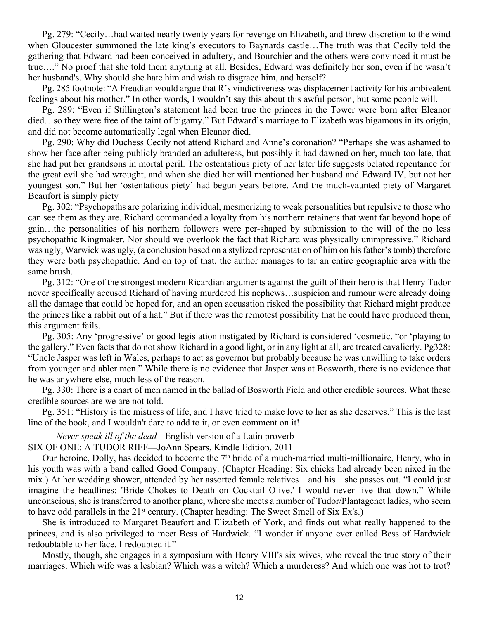Pg. 279: "Cecily…had waited nearly twenty years for revenge on Elizabeth, and threw discretion to the wind when Gloucester summoned the late king's executors to Baynards castle…The truth was that Cecily told the gathering that Edward had been conceived in adultery, and Bourchier and the others were convinced it must be true…." No proof that she told them anything at all. Besides, Edward was definitely her son, even if he wasn't her husband's. Why should she hate him and wish to disgrace him, and herself?

Pg. 285 footnote: "A Freudian would argue that R's vindictiveness was displacement activity for his ambivalent feelings about his mother." In other words, I wouldn't say this about this awful person, but some people will.

Pg. 289: "Even if Stillington's statement had been true the princes in the Tower were born after Eleanor died…so they were free of the taint of bigamy." But Edward's marriage to Elizabeth was bigamous in its origin, and did not become automatically legal when Eleanor died.

Pg. 290: Why did Duchess Cecily not attend Richard and Anne's coronation? "Perhaps she was ashamed to show her face after being publicly branded an adulteress, but possibly it had dawned on her, much too late, that she had put her grandsons in mortal peril. The ostentatious piety of her later life suggests belated repentance for the great evil she had wrought, and when she died her will mentioned her husband and Edward IV, but not her youngest son." But her 'ostentatious piety' had begun years before. And the much-vaunted piety of Margaret Beaufort is simply piety

Pg. 302: "Psychopaths are polarizing individual, mesmerizing to weak personalities but repulsive to those who can see them as they are. Richard commanded a loyalty from his northern retainers that went far beyond hope of gain…the personalities of his northern followers were per-shaped by submission to the will of the no less psychopathic Kingmaker. Nor should we overlook the fact that Richard was physically unimpressive." Richard was ugly, Warwick was ugly, (a conclusion based on a stylized representation of him on his father's tomb) therefore they were both psychopathic. And on top of that, the author manages to tar an entire geographic area with the same brush.

Pg. 312: "One of the strongest modern Ricardian arguments against the guilt of their hero is that Henry Tudor never specifically accused Richard of having murdered his nephews…suspicion and rumour were already doing all the damage that could be hoped for, and an open accusation risked the possibility that Richard might produce the princes like a rabbit out of a hat." But if there was the remotest possibility that he could have produced them, this argument fails.

Pg. 305: Any 'progressive' or good legislation instigated by Richard is considered 'cosmetic. "or 'playing to the gallery." Even facts that do not show Richard in a good light, or in any light at all, are treated cavalierly. Pg328: "Uncle Jasper was left in Wales, perhaps to act as governor but probably because he was unwilling to take orders from younger and abler men." While there is no evidence that Jasper was at Bosworth, there is no evidence that he was anywhere else, much less of the reason.

Pg. 330: There is a chart of men named in the ballad of Bosworth Field and other credible sources. What these credible sources are we are not told.

Pg. 351: "History is the mistress of life, and I have tried to make love to her as she deserves." This is the last line of the book, and I wouldn't dare to add to it, or even comment on it!

*Never speak ill of the dead—*English version of a Latin proverb SIX OF ONE: A TUDOR RIFF**—**JoAnn Spears, Kindle Edition, 2011

Our heroine, Dolly, has decided to become the 7<sup>th</sup> bride of a much-married multi-millionaire, Henry, who in his youth was with a band called Good Company. (Chapter Heading: Six chicks had already been nixed in the mix.) At her wedding shower, attended by her assorted female relatives—and his—she passes out. "I could just imagine the headlines: 'Bride Chokes to Death on Cocktail Olive.' I would never live that down." While unconscious, she is transferred to another plane, where she meets a number of Tudor/Plantagenet ladies, who seem to have odd parallels in the 21<sup>st</sup> century. (Chapter heading: The Sweet Smell of Six Ex's.)

She is introduced to Margaret Beaufort and Elizabeth of York, and finds out what really happened to the princes, and is also privileged to meet Bess of Hardwick. "I wonder if anyone ever called Bess of Hardwick redoubtable to her face. I redoubted it."

Mostly, though, she engages in a symposium with Henry VIII's six wives, who reveal the true story of their marriages. Which wife was a lesbian? Which was a witch? Which a murderess? And which one was hot to trot?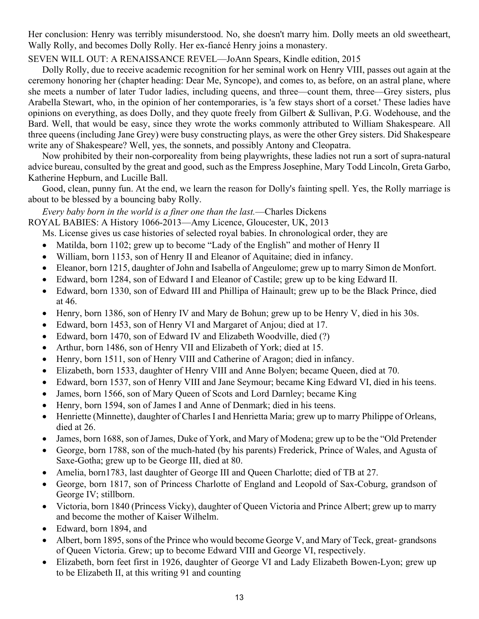Her conclusion: Henry was terribly misunderstood. No, she doesn't marry him. Dolly meets an old sweetheart, Wally Rolly, and becomes Dolly Rolly. Her ex-fiancé Henry joins a monastery.

# SEVEN WILL OUT: A RENAISSANCE REVEL—JoAnn Spears, Kindle edition, 2015

Dolly Rolly, due to receive academic recognition for her seminal work on Henry VIII, passes out again at the ceremony honoring her (chapter heading: Dear Me, Syncope), and comes to, as before, on an astral plane, where she meets a number of later Tudor ladies, including queens, and three—count them, three—Grey sisters, plus Arabella Stewart, who, in the opinion of her contemporaries, is 'a few stays short of a corset.' These ladies have opinions on everything, as does Dolly, and they quote freely from Gilbert & Sullivan, P.G. Wodehouse, and the Bard. Well, that would be easy, since they wrote the works commonly attributed to William Shakespeare. All three queens (including Jane Grey) were busy constructing plays, as were the other Grey sisters. Did Shakespeare write any of Shakespeare? Well, yes, the sonnets, and possibly Antony and Cleopatra.

Now prohibited by their non-corporeality from being playwrights, these ladies not run a sort of supra-natural advice bureau, consulted by the great and good, such as the Empress Josephine, Mary Todd Lincoln, Greta Garbo, Katherine Hepburn, and Lucille Ball.

Good, clean, punny fun. At the end, we learn the reason for Dolly's fainting spell. Yes, the Rolly marriage is about to be blessed by a bouncing baby Rolly.

*Every baby born in the world is a finer one than the last.*—Charles Dickens

ROYAL BABIES: A History 1066-2013—Amy Licence, Gloucester, UK, 2013

Ms. License gives us case histories of selected royal babies. In chronological order, they are

- Matilda, born 1102; grew up to become "Lady of the English" and mother of Henry II
- � William, born 1153, son of Henry II and Eleanor of Aquitaine; died in infancy.
- � Eleanor, born 1215, daughter of John and Isabella of Angeulome; grew up to marry Simon de Monfort.
- � Edward, born 1284, son of Edward I and Eleanor of Castile; grew up to be king Edward II.
- � Edward, born 1330, son of Edward III and Phillipa of Hainault; grew up to be the Black Prince, died at 46.
- Henry, born 1386, son of Henry IV and Mary de Bohun; grew up to be Henry V, died in his 30s.
- � Edward, born 1453, son of Henry VI and Margaret of Anjou; died at 17.
- Edward, born 1470, son of Edward IV and Elizabeth Woodville, died (?)
- � Arthur, born 1486, son of Henry VII and Elizabeth of York; died at 15.
- � Henry, born 1511, son of Henry VIII and Catherine of Aragon; died in infancy.
- � Elizabeth, born 1533, daughter of Henry VIII and Anne Bolyen; became Queen, died at 70.
- � Edward, born 1537, son of Henry VIII and Jane Seymour; became King Edward VI, died in his teens.
- James, born 1566, son of Mary Queen of Scots and Lord Darnley; became King
- � Henry, born 1594, son of James I and Anne of Denmark; died in his teens.
- � Henriette (Minnette), daughter of Charles I and Henrietta Maria; grew up to marry Philippe of Orleans, died at 26.
- James, born 1688, son of James, Duke of York, and Mary of Modena; grew up to be the "Old Pretender"
- � George, born 1788, son of the much-hated (by his parents) Frederick, Prince of Wales, and Agusta of Saxe-Gotha; grew up to be George III, died at 80.
- Amelia, born1783, last daughter of George III and Queen Charlotte; died of TB at 27.
- � George, born 1817, son of Princess Charlotte of England and Leopold of Sax-Coburg, grandson of George IV; stillborn.
- � Victoria, born 1840 (Princess Vicky), daughter of Queen Victoria and Prince Albert; grew up to marry and become the mother of Kaiser Wilhelm.
- � Edward, born 1894, and
- Albert, born 1895, sons of the Prince who would become George V, and Mary of Teck, great- grandsons of Queen Victoria. Grew; up to become Edward VIII and George VI, respectively.
- � Elizabeth, born feet first in 1926, daughter of George VI and Lady Elizabeth Bowen-Lyon; grew up to be Elizabeth II, at this writing 91 and counting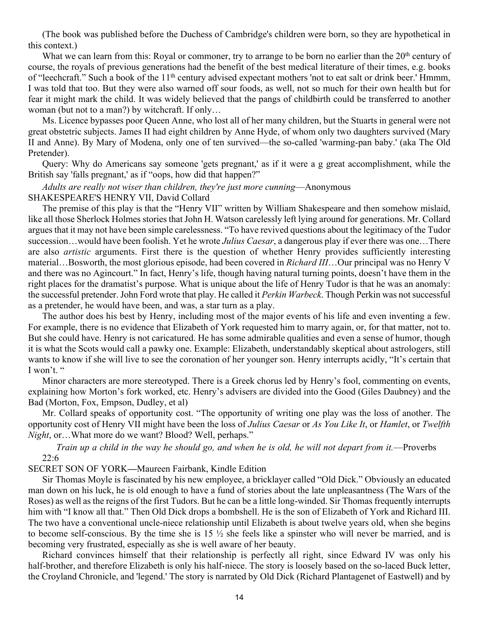(The book was published before the Duchess of Cambridge's children were born, so they are hypothetical in this context.)

What we can learn from this: Royal or commoner, try to arrange to be born no earlier than the 20<sup>th</sup> century of course, the royals of previous generations had the benefit of the best medical literature of their times, e.g. books of "leechcraft." Such a book of the 11<sup>th</sup> century advised expectant mothers 'not to eat salt or drink beer.' Hmmm, I was told that too. But they were also warned off sour foods, as well, not so much for their own health but for fear it might mark the child. It was widely believed that the pangs of childbirth could be transferred to another woman (but not to a man?) by witchcraft. If only...

Ms. Licence bypasses poor Queen Anne, who lost all of her many children, but the Stuarts in general were not great obstetric subjects. James II had eight children by Anne Hyde, of whom only two daughters survived (Mary II and Anne). By Mary of Modena, only one of ten survived—the so-called 'warming-pan baby.' (aka The Old Pretender).

Query: Why do Americans say someone 'gets pregnant,' as if it were a g great accomplishment, while the British say 'falls pregnant,' as if "oops, how did that happen?"

*Adults are really not wiser than children, they're just more cunning*—Anonymous SHAKESPEARE'S HENRY VII, David Collard

The premise of this play is that the "Henry VII" written by William Shakespeare and then somehow mislaid, like all those Sherlock Holmes stories that John H. Watson carelessly left lying around for generations. Mr. Collard argues that it may not have been simple carelessness. "To have revived questions about the legitimacy of the Tudor succession…would have been foolish. Yet he wrote *Julius Caesar*, a dangerous play if ever there was one…There are also *artistic* arguments. First there is the question of whether Henry provides sufficiently interesting material…Bosworth, the most glorious episode, had been covered in *Richard III*…Our principal was no Henry V and there was no Agincourt." In fact, Henry's life, though having natural turning points, doesn't have them in the right places for the dramatist's purpose. What is unique about the life of Henry Tudor is that he was an anomaly: the successful pretender. John Ford wrote that play. He called it *Perkin Warbeck*. Though Perkin was not successful as a pretender, he would have been, and was, a star turn as a play.

The author does his best by Henry, including most of the major events of his life and even inventing a few. For example, there is no evidence that Elizabeth of York requested him to marry again, or, for that matter, not to. But she could have. Henry is not caricatured. He has some admirable qualities and even a sense of humor, though it is what the Scots would call a pawky one. Example: Elizabeth, understandably skeptical about astrologers, still wants to know if she will live to see the coronation of her younger son. Henry interrupts acidly, "It's certain that I won't. "

Minor characters are more stereotyped. There is a Greek chorus led by Henry's fool, commenting on events, explaining how Morton's fork worked, etc. Henry's advisers are divided into the Good (Giles Daubney) and the Bad (Morton, Fox, Empson, Dudley, et al)

Mr. Collard speaks of opportunity cost. "The opportunity of writing one play was the loss of another. The opportunity cost of Henry VII might have been the loss of *Julius Caesar* or *As You Like It*, or *Hamlet*, or *Twelfth Night*, or…What more do we want? Blood? Well, perhaps."

*Train up a child in the way he should go, and when he is old, he will not depart from it.*—Proverbs 22:6

SECRET SON OF YORK**—**Maureen Fairbank, Kindle Edition

Sir Thomas Moyle is fascinated by his new employee, a bricklayer called "Old Dick." Obviously an educated man down on his luck, he is old enough to have a fund of stories about the late unpleasantness (The Wars of the Roses) as well as the reigns of the first Tudors. But he can be a little long-winded. Sir Thomas frequently interrupts him with "I know all that." Then Old Dick drops a bombshell. He is the son of Elizabeth of York and Richard III. The two have a conventional uncle-niece relationship until Elizabeth is about twelve years old, when she begins to become self-conscious. By the time she is 15 ½ she feels like a spinster who will never be married, and is becoming very frustrated, especially as she is well aware of her beauty.

Richard convinces himself that their relationship is perfectly all right, since Edward IV was only his half-brother, and therefore Elizabeth is only his half-niece. The story is loosely based on the so-laced Buck letter, the Croyland Chronicle, and 'legend.' The story is narrated by Old Dick (Richard Plantagenet of Eastwell) and by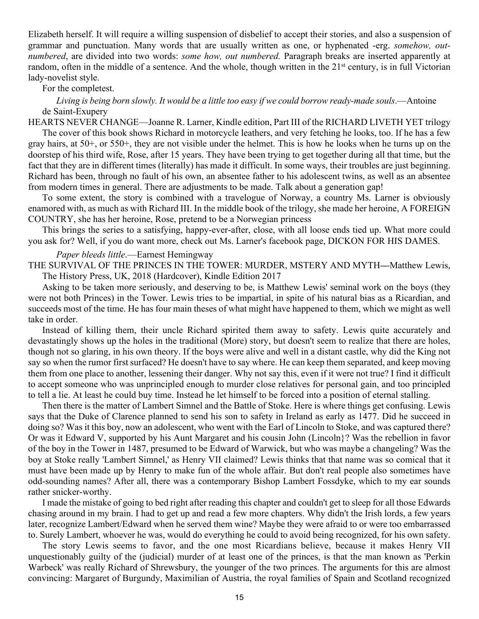Elizabeth herself. It will require a willing suspension of disbelief to accept their stories, and also a suspension of grammar and punctuation. Many words that are usually written as one, or hyphenated -erg. *somehow, outnumbered*, are divided into two words: *some how, out numbered.* Paragraph breaks are inserted apparently at random, often in the middle of a sentence. And the whole, though written in the 21<sup>st</sup> century, is in full Victorian lady-novelist style.

#### For the completest.

*Living is being born slowly. It would be a little too easy if we could borrow ready-made souls*.—Antoine de Saint-Exupery

HEARTS NEVER CHANGE—Joanne R. Larner, Kindle edition, Part III of the RICHARD LIVETH YET trilogy The cover of this book shows Richard in motorcycle leathers, and very fetching he looks, too. If he has a few gray hairs, at 50+, or 550+, they are not visible under the helmet. This is how he looks when he turns up on the doorstep of his third wife, Rose, after 15 years. They have been trying to get together during all that time, but the fact that they are in different times (literally) has made it difficult. In some ways, their troubles are just beginning. Richard has been, through no fault of his own, an absentee father to his adolescent twins, as well as an absentee from modern times in general. There are adjustments to be made. Talk about a generation gap!

To some extent, the story is combined with a travelogue of Norway, a country Ms. Larner is obviously enamored with, as much as with Richard III. In the middle book of the trilogy, she made her heroine, A FOREIGN COUNTRY, she has her heroine, Rose, pretend to be a Norwegian princess

This brings the series to a satisfying, happy-ever-after, close, with all loose ends tied up. What more could you ask for? Well, if you do want more, check out Ms. Larner's facebook page, DICKON FOR HIS DAMES.

# *Paper bleeds little*.—Earnest Hemingway

THE SURVIVAL OF THE PRINCES IN THE TOWER: MURDER, MSTERY AND MYTH**—**Matthew Lewis, The History Press, UK, 2018 (Hardcover), Kindle Edition 2017

Asking to be taken more seriously, and deserving to be, is Matthew Lewis' seminal work on the boys (they were not both Princes) in the Tower. Lewis tries to be impartial, in spite of his natural bias as a Ricardian, and succeeds most of the time. He has four main theses of what might have happened to them, which we might as well take in order.

Instead of killing them, their uncle Richard spirited them away to safety. Lewis quite accurately and devastatingly shows up the holes in the traditional (More) story, but doesn't seem to realize that there are holes, though not so glaring, in his own theory. If the boys were alive and well in a distant castle, why did the King not say so when the rumor first surfaced? He doesn't have to say where. He can keep them separated, and keep moving them from one place to another, lessening their danger. Why not say this, even if it were not true? I find it difficult to accept someone who was unprincipled enough to murder close relatives for personal gain, and too principled to tell a lie. At least he could buy time. Instead he let himself to be forced into a position of eternal stalling.

Then there is the matter of Lambert Simnel and the Battle of Stoke. Here is where things get confusing. Lewis says that the Duke of Clarence planned to send his son to safety in Ireland as early as 1477. Did he succeed in doing so? Was it this boy, now an adolescent, who went with the Earl of Lincoln to Stoke, and was captured there? Or was it Edward V, supported by his Aunt Margaret and his cousin John (Lincoln}? Was the rebellion in favor of the boy in the Tower in 1487, presumed to be Edward of Warwick, but who was maybe a changeling? Was the boy at Stoke really 'Lambert Simnel,' as Henry VII claimed? Lewis thinks that that name was so comical that it must have been made up by Henry to make fun of the whole affair. But don't real people also sometimes have odd-sounding names? After all, there was a contemporary Bishop Lambert Fossdyke, which to my ear sounds rather snicker-worthy.

I made the mistake of going to bed right after reading this chapter and couldn't get to sleep for all those Edwards chasing around in my brain. I had to get up and read a few more chapters. Why didn't the Irish lords, a few years later, recognize Lambert/Edward when he served them wine? Maybe they were afraid to or were too embarrassed to. Surely Lambert, whoever he was, would do everything he could to avoid being recognized, for his own safety.

The story Lewis seems to favor, and the one most Ricardians believe, because it makes Henry VII unquestionably guilty of the (judicial) murder of at least one of the princes, is that the man known as 'Perkin Warbeck' was really Richard of Shrewsbury, the younger of the two princes. The arguments for this are almost convincing: Margaret of Burgundy, Maximilian of Austria, the royal families of Spain and Scotland recognized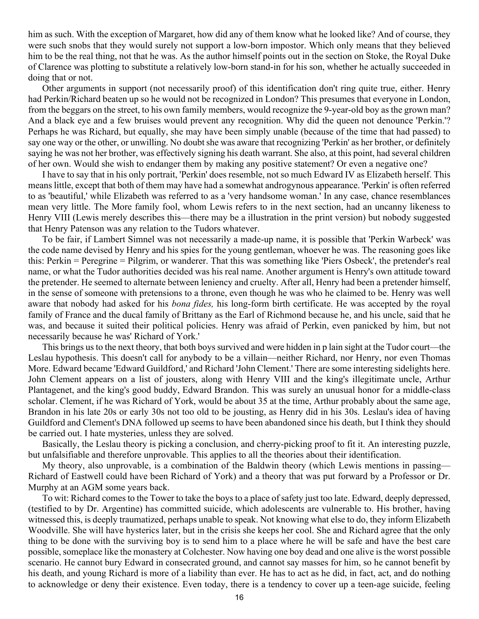him as such. With the exception of Margaret, how did any of them know what he looked like? And of course, they were such snobs that they would surely not support a low-born impostor. Which only means that they believed him to be the real thing, not that he was. As the author himself points out in the section on Stoke, the Royal Duke of Clarence was plotting to substitute a relatively low-born stand-in for his son, whether he actually succeeded in doing that or not.

Other arguments in support (not necessarily proof) of this identification don't ring quite true, either. Henry had Perkin/Richard beaten up so he would not be recognized in London? This presumes that everyone in London, from the beggars on the street, to his own family members, would recognize the 9-year-old boy as the grown man? And a black eye and a few bruises would prevent any recognition. Why did the queen not denounce 'Perkin.'? Perhaps he was Richard, but equally, she may have been simply unable (because of the time that had passed) to say one way or the other, or unwilling. No doubt she was aware that recognizing 'Perkin' as her brother, or definitely saying he was not her brother, was effectively signing his death warrant. She also, at this point, had several children of her own. Would she wish to endanger them by making any positive statement? Or even a negative one?

I have to say that in his only portrait, 'Perkin' does resemble, not so much Edward IV as Elizabeth herself. This means little, except that both of them may have had a somewhat androgynous appearance. 'Perkin' is often referred to as 'beautiful,' while Elizabeth was referred to as a 'very handsome woman.' In any case, chance resemblances mean very little. The More family fool, whom Lewis refers to in the next section, had an uncanny likeness to Henry VIII (Lewis merely describes this—there may be a illustration in the print version) but nobody suggested that Henry Patenson was any relation to the Tudors whatever.

To be fair, if Lambert Simnel was not necessarily a made-up name, it is possible that 'Perkin Warbeck' was the code name devised by Henry and his spies for the young gentleman, whoever he was. The reasoning goes like this: Perkin = Peregrine = Pilgrim, or wanderer. That this was something like 'Piers Osbeck', the pretender's real name, or what the Tudor authorities decided was his real name. Another argument is Henry's own attitude toward the pretender. He seemed to alternate between leniency and cruelty. After all, Henry had been a pretender himself, in the sense of someone with pretensions to a throne, even though he was who he claimed to be. Henry was well aware that nobody had asked for his *bona fides,* his long-form birth certificate. He was accepted by the royal family of France and the ducal family of Brittany as the Earl of Richmond because he, and his uncle, said that he was, and because it suited their political policies. Henry was afraid of Perkin, even panicked by him, but not necessarily because he was' Richard of York.'

This brings us to the next theory, that both boys survived and were hidden in p lain sight at the Tudor court—the Leslau hypothesis. This doesn't call for anybody to be a villain—neither Richard, nor Henry, nor even Thomas More. Edward became 'Edward Guildford,' and Richard 'John Clement.' There are some interesting sidelights here. John Clement appears on a list of jousters, along with Henry VIII and the king's illegitimate uncle, Arthur Plantagenet, and the king's good buddy, Edward Brandon. This was surely an unusual honor for a middle-class scholar. Clement, if he was Richard of York, would be about 35 at the time, Arthur probably about the same age, Brandon in his late 20s or early 30s not too old to be jousting, as Henry did in his 30s. Leslau's idea of having Guildford and Clement's DNA followed up seems to have been abandoned since his death, but I think they should be carried out. I hate mysteries, unless they are solved.

Basically, the Leslau theory is picking a conclusion, and cherry-picking proof to fit it. An interesting puzzle, but unfalsifiable and therefore unprovable. This applies to all the theories about their identification.

My theory, also unprovable, is a combination of the Baldwin theory (which Lewis mentions in passing— Richard of Eastwell could have been Richard of York) and a theory that was put forward by a Professor or Dr. Murphy at an AGM some years back.

To wit: Richard comes to the Tower to take the boys to a place of safety just too late. Edward, deeply depressed, (testified to by Dr. Argentine) has committed suicide, which adolescents are vulnerable to. His brother, having witnessed this, is deeply traumatized, perhaps unable to speak. Not knowing what else to do, they inform Elizabeth Woodville. She will have hysterics later, but in the crisis she keeps her cool. She and Richard agree that the only thing to be done with the surviving boy is to send him to a place where he will be safe and have the best care possible, someplace like the monastery at Colchester. Now having one boy dead and one alive is the worst possible scenario. He cannot bury Edward in consecrated ground, and cannot say masses for him, so he cannot benefit by his death, and young Richard is more of a liability than ever. He has to act as he did, in fact, act, and do nothing to acknowledge or deny their existence. Even today, there is a tendency to cover up a teen-age suicide, feeling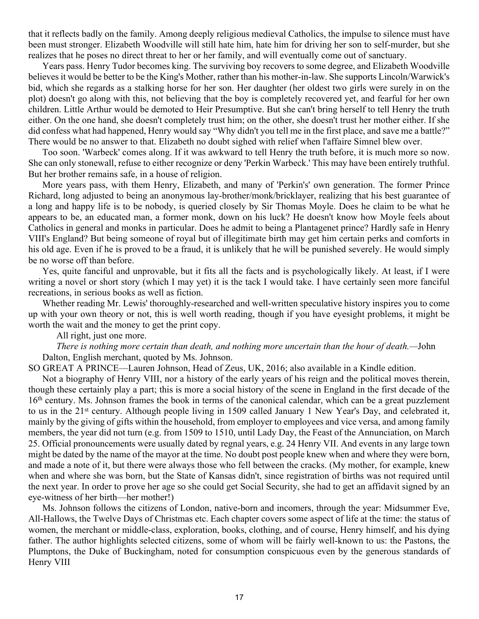that it reflects badly on the family. Among deeply religious medieval Catholics, the impulse to silence must have been must stronger. Elizabeth Woodville will still hate him, hate him for driving her son to self-murder, but she realizes that he poses no direct threat to her or her family, and will eventually come out of sanctuary.

Years pass. Henry Tudor becomes king. The surviving boy recovers to some degree, and Elizabeth Woodville believes it would be better to be the King's Mother, rather than his mother-in-law. She supports Lincoln/Warwick's bid, which she regards as a stalking horse for her son. Her daughter (her oldest two girls were surely in on the plot) doesn't go along with this, not believing that the boy is completely recovered yet, and fearful for her own children. Little Arthur would be demoted to Heir Presumptive. But she can't bring herself to tell Henry the truth either. On the one hand, she doesn't completely trust him; on the other, she doesn't trust her mother either. If she did confess what had happened, Henry would say "Why didn't you tell me in the first place, and save me a battle?" There would be no answer to that. Elizabeth no doubt sighed with relief when l'affaire Simnel blew over.

Too soon. 'Warbeck' comes along. If it was awkward to tell Henry the truth before, it is much more so now. She can only stonewall, refuse to either recognize or deny 'Perkin Warbeck.' This may have been entirely truthful. But her brother remains safe, in a house of religion.

More years pass, with them Henry, Elizabeth, and many of 'Perkin's' own generation. The former Prince Richard, long adjusted to being an anonymous lay-brother/monk/bricklayer, realizing that his best guarantee of a long and happy life is to be nobody, is queried closely by Sir Thomas Moyle. Does he claim to be what he appears to be, an educated man, a former monk, down on his luck? He doesn't know how Moyle feels about Catholics in general and monks in particular. Does he admit to being a Plantagenet prince? Hardly safe in Henry VIII's England? But being someone of royal but of illegitimate birth may get him certain perks and comforts in his old age. Even if he is proved to be a fraud, it is unlikely that he will be punished severely. He would simply be no worse off than before.

Yes, quite fanciful and unprovable, but it fits all the facts and is psychologically likely. At least, if I were writing a novel or short story (which I may yet) it is the tack I would take. I have certainly seen more fanciful recreations, in serious books as well as fiction.

Whether reading Mr. Lewis' thoroughly-researched and well-written speculative history inspires you to come up with your own theory or not, this is well worth reading, though if you have eyesight problems, it might be worth the wait and the money to get the print copy.

# All right, just one more.

*There is nothing more certain than death, and nothing more uncertain than the hour of death.—*John Dalton, English merchant, quoted by Ms. Johnson.

SO GREAT A PRINCE—Lauren Johnson, Head of Zeus, UK, 2016; also available in a Kindle edition.

Not a biography of Henry VIII, nor a history of the early years of his reign and the political moves therein, though these certainly play a part; this is more a social history of the scene in England in the first decade of the 16th century. Ms. Johnson frames the book in terms of the canonical calendar, which can be a great puzzlement to us in the 21st century. Although people living in 1509 called January 1 New Year's Day, and celebrated it, mainly by the giving of gifts within the household, from employer to employees and vice versa, and among family members, the year did not turn (e.g. from 1509 to 1510, until Lady Day, the Feast of the Annunciation, on March 25. Official pronouncements were usually dated by regnal years, e.g. 24 Henry VII. And events in any large town might be dated by the name of the mayor at the time. No doubt post people knew when and where they were born, and made a note of it, but there were always those who fell between the cracks. (My mother, for example, knew when and where she was born, but the State of Kansas didn't, since registration of births was not required until the next year. In order to prove her age so she could get Social Security, she had to get an affidavit signed by an eye-witness of her birth—her mother!)

Ms. Johnson follows the citizens of London, native-born and incomers, through the year: Midsummer Eve, All-Hallows, the Twelve Days of Christmas etc. Each chapter covers some aspect of life at the time: the status of women, the merchant or middle-class, exploration, books, clothing, and of course, Henry himself, and his dying father. The author highlights selected citizens, some of whom will be fairly well-known to us: the Pastons, the Plumptons, the Duke of Buckingham, noted for consumption conspicuous even by the generous standards of Henry VIII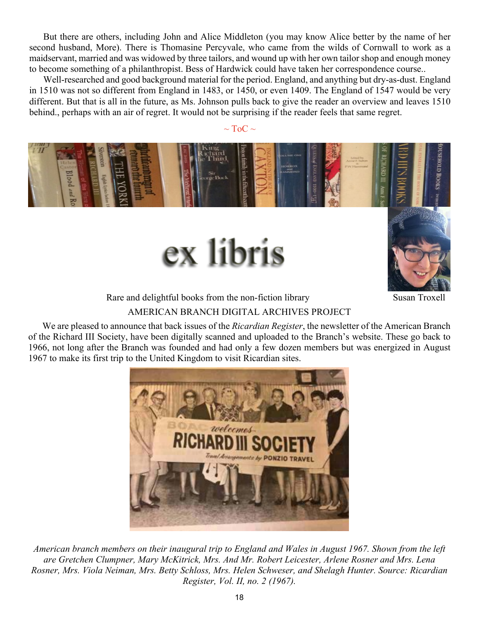<span id="page-17-0"></span>But there are others, including John and Alice Middleton (you may know Alice better by the name of her second husband, More). There is Thomasine Percyvale, who came from the wilds of Cornwall to work as a maidservant, married and was widowed by three tailors, and wound up with her own tailor shop and enough money to become something of a philanthropist. Bess of Hardwick could have taken her correspondence course..

Well-researched and good background material for the period. England, and anything but dry-as-dust. England in 1510 was not so different from England in 1483, or 1450, or even 1409. The England of 1547 would be very different. But that is all in the future, as Ms. Johnson pulls back to give the reader an overview and leaves 1510 behind., perhaps with an air of regret. It would not be surprising if the reader feels that same regret.

 $\sim$  ToC  $\sim$ 







Rare and delightful books from the non-fiction library Susan Troxell

# AMERICAN BRANCH DIGITAL ARCHIVES PROJECT

We are pleased to announce that back issues of the *Ricardian Register*, the newsletter of the American Branch of the Richard III Society, have been digitally scanned and uploaded to the Branch's website. These go back to 1966, not long after the Branch was founded and had only a few dozen members but was energized in August 1967 to make its first trip to the United Kingdom to visit Ricardian sites.



*American branch members on their inaugural trip to England and Wales in August 1967. Shown from the left are Gretchen Clumpner, Mary McKitrick, Mrs. And Mr. Robert Leicester, Arlene Rosner and Mrs. Lena Rosner, Mrs. Viola Neiman, Mrs. Betty Schloss, Mrs. Helen Schweser, and Shelagh Hunter. Source: Ricardian Register, Vol. II, no. 2 (1967).*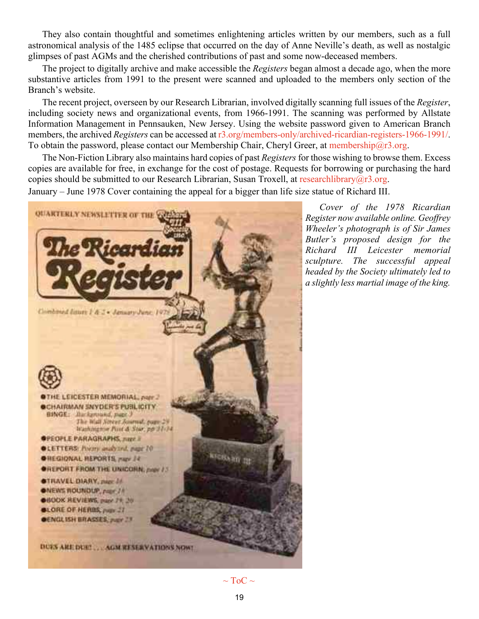They also contain thoughtful and sometimes enlightening articles written by our members, such as a full astronomical analysis of the 1485 eclipse that occurred on the day of Anne Neville's death, as well as nostalgic glimpses of past AGMs and the cherished contributions of past and some now-deceased members.

The project to digitally archive and make accessible the *Registers* began almost a decade ago, when the more substantive articles from 1991 to the present were scanned and uploaded to the members only section of the Branch's website.

The recent project, overseen by our Research Librarian, involved digitally scanning full issues of the *Register*, including society news and organizational events, from 1966-1991. The scanning was performed by Allstate Information Management in Pennsauken, New Jersey. Using the website password given to American Branch members, the archived *Registers* can be accessed at [r3.org/members-only/archived-ricardian-registers-1966-1991/.](http://www.r3.org/members-only/archived-ricardian-registers-1966-1991/) To obtain the password, please contact our Membership Chair, Cheryl Greer, at [membership@r3.org.](mailto:membership@r3.org)

The Non-Fiction Library also maintains hard copies of past *Registers* for those wishing to browse them. Excess copies are available for free, in exchange for the cost of postage. Requests for borrowing or purchasing the hard copies should be submitted to our Research Librarian, Susan Troxell, at [researchlibrary@r3.org](mailto:researchlibrary@r3.org).

January – June 1978 Cover containing the appeal for a bigger than life size statue of Richard III.



*Cover of the 1978 Ricardian Register now available online. Geoffrey Wheeler's photograph is of Sir James Butler's proposed design for the Richard III Leicester memorial sculpture. The successful appeal headed by the Society ultimately led to a slightly less martial image of the king.*

 $\sim$  ToC  $\sim$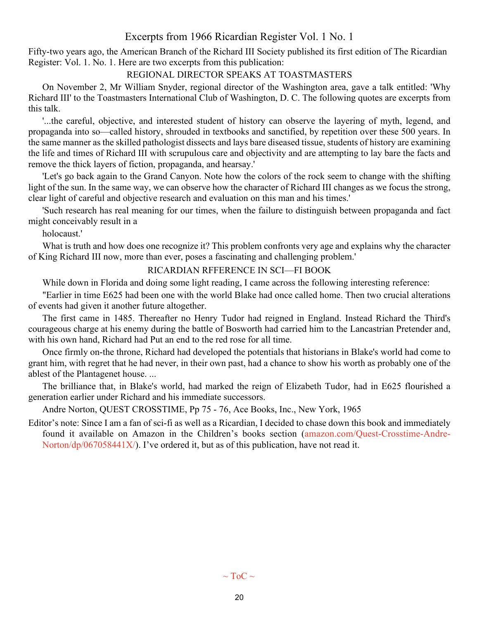# Excerpts from 1966 Ricardian Register Vol. 1 No. 1

<span id="page-19-0"></span>Fifty-two years ago, the American Branch of the Richard III Society published its first edition of The Ricardian Register: Vol. 1. No. 1. Here are two excerpts from this publication:

# REGIONAL DIRECTOR SPEAKS AT TOASTMASTERS

On November 2, Mr William Snyder, regional director of the Washington area, gave a talk entitled: 'Why Richard III' to the Toastmasters International Club of Washington, D. C. The following quotes are excerpts from this talk.

'...the careful, objective, and interested student of history can observe the layering of myth, legend, and propaganda into so—called history, shrouded in textbooks and sanctified, by repetition over these 500 years. In the same manner as the skilled pathologist dissects and lays bare diseased tissue, students of history are examining the life and times of Richard III with scrupulous care and objectivity and are attempting to lay bare the facts and remove the thick layers of fiction, propaganda, and hearsay.'

'Let's go back again to the Grand Canyon. Note how the colors of the rock seem to change with the shifting light of the sun. In the same way, we can observe how the character of Richard III changes as we focus the strong, clear light of careful and objective research and evaluation on this man and his times.'

'Such research has real meaning for our times, when the failure to distinguish between propaganda and fact might conceivably result in a

holocaust.'

What is truth and how does one recognize it? This problem confronts very age and explains why the character of King Richard III now, more than ever, poses a fascinating and challenging problem.'

# RICARDIAN RFFERENCE IN SCI—FI BOOK

While down in Florida and doing some light reading, I came across the following interesting reference:

"Earlier in time E625 had been one with the world Blake had once called home. Then two crucial alterations of events had given it another future altogether.

The first came in 1485. Thereafter no Henry Tudor had reigned in England. Instead Richard the Third's courageous charge at his enemy during the battle of Bosworth had carried him to the Lancastrian Pretender and, with his own hand, Richard had Put an end to the red rose for all time.

Once firmly on-the throne, Richard had developed the potentials that historians in Blake's world had come to grant him, with regret that he had never, in their own past, had a chance to show his worth as probably one of the ablest of the Plantagenet house. ...

The brilliance that, in Blake's world, had marked the reign of Elizabeth Tudor, had in E625 flourished a generation earlier under Richard and his immediate successors.

Andre Norton, QUEST CROSSTIME, Pp 75 - 76, Ace Books, Inc., New York, 1965

Editor's note: Since I am a fan of sci-fi as well as a Ricardian, I decided to chase down this book and immediately found it available on Amazon in the Children's books section ([amazon.com/Quest-Crosstime-Andre-](https://www.amazon.com/Quest-Crosstime-Andre-Norton/dp/067058441X/)[Norton/dp/067058441X/](https://www.amazon.com/Quest-Crosstime-Andre-Norton/dp/067058441X/)). I've ordered it, but as of this publication, have not read it.

 $\sim$  ToC  $\sim$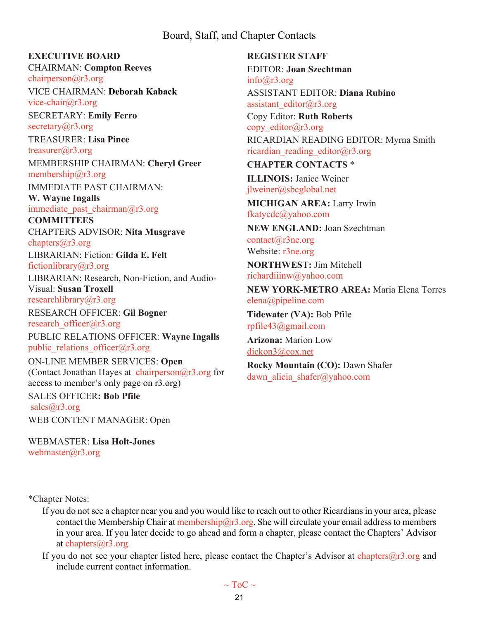# Board, Staff, and Chapter Contacts

# <span id="page-20-0"></span>**EXECUTIVE BOARD**

CHAIRMAN: **Compton Reeves** [chairperson@r3.org](mailto:chairperson@r3.org)

VICE CHAIRMAN: **Deborah Kaback** [vice-chair@r3.org](mailto:vice-chair@r3.org)

SECRETARY: **Emily Ferro** secretary $(a)$ r3.org

TREASURER: **Lisa Pince** [treasurer@r3.org](mailto:treasurer@r3.org) MEMBERSHIP CHAIRMAN: **Cheryl Greer** [membership@r3.org](mailto:membership@r3.org)

IMMEDIATE PAST CHAIRMAN: **W. Wayne Ingalls**

immediate past chairman $@r3.org$ 

**COMMITTEES** CHAPTERS ADVISOR: **Nita Musgrave** [chapters@r3.org](mailto:chapters@r3.org)

LIBRARIAN: Fiction: **Gilda E. Felt**

[fictionlibrary@r3.org](mailto:fictionlibrary@r3.org)

LIBRARIAN: Research, Non-Fiction, and Audio-Visual: **Susan Troxell**

[researchlibrary@r3.org](mailto:researchlibrary@r3.org)

RESEARCH OFFICER: **Gil Bogner** [research\\_officer@r3.org](mailto:research_officer@r3.org)

PUBLIC RELATIONS OFFICER: **Wayne Ingalls** public relations officer $@r3.org$ 

ON-LINE MEMBER SERVICES: **Open** (Contact Jonathan Hayes at chairperson $@r3.org$  for access to member's only page on r3.org) SALES OFFICER**: Bob Pfile** [sales@r3.org](mailto:sales@r3.org)

WEB CONTENT MANAGER: Open

WEBMASTER: **Lisa Holt-Jones** [webmaster@r3.org](mailto:webmaster@r3.org)

**REGISTER STAFF** EDITOR: **Joan Szechtman** [info@r3.org](mailto:info@r3.org) ASSISTANT EDITOR: **Diana Rubino** [assistant\\_editor@r3.org](mailto:assistant_editor@r3.org) Copy Editor: **Ruth Roberts** copy editor@r3.org RICARDIAN READING EDITOR: Myrna Smith ricardian reading editor@r3.org **CHAPTER CONTACTS** \*

**ILLINOIS:** Janice Weiner [jlweiner@sbcglobal.net](mailto:jlweiner@sbcglobal.net)

**MICHIGAN AREA:** Larry Irwin [fkatycdc@yahoo.com](mailto:fkatycdc@yahoo.com)

**NEW ENGLAND:** Joan Szechtman [contact@r3ne.org](mailto:contact@r3ne.org) Website: [r3ne.org](http://r3ne.org/)

**NORTHWEST:** Jim Mitchell [richardiiinw@yahoo.com](mailto:richardiiinw@yahoo.com)

**NEW YORK-METRO AREA:** Maria Elena Torres [elena@pipeline.com](mailto:elena@pipeline.com)

**Tidewater (VA):** Bob Pfile [rpfile43@gmail.com](mailto:rpfile43@gmail.com)

**Arizona:** Marion Low [dickon3@cox.net](mailto:dickon3@cox.net)

**Rocky Mountain (CO):** Dawn Shafer dawn alicia shafer@yahoo.com

\*Chapter Notes:

- If you do not see a chapter near you and you would like to reach out to other Ricardians in your area, please contact the Membership Chair at membership  $\widehat{a}$ r3.org. She will circulate your email address to members in your area. If you later decide to go ahead and form a chapter, please contact the Chapters' Advisor at [chapters@r3.org](mailto:chapters@r3.org.)[.](mailto:chapters@r3.org.)
- If you do not see your chapter listed here, please contact the Chapter's Advisor a[t chapters@r3.org](mailto:chapters@r3.org.) and include current contact information.